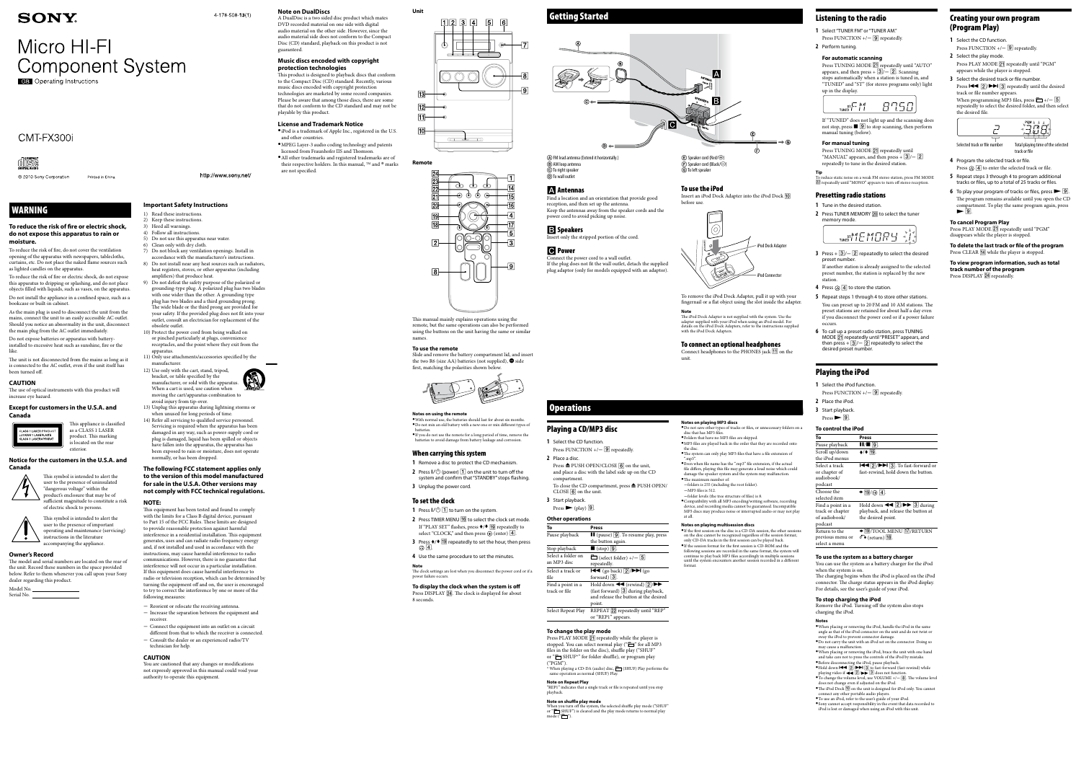# **SONY**

# Micro HI-FI **Component System**

**CB** Operating Instructions

# CMT-FX300i



© 2010 Sony Corporation Printed in China

# WARNING

#### **To reduce the risk of fire or electric shock, do not expose this apparatus to rain or moisture.**

- To reduce the risk of fire, do not cover the ventilation opening of the apparatus with newspapers, tablecloths, curtains, etc. Do not place the naked flame sources such as lighted candles on the apparatus.
- To reduce the risk of fire or electric shock, do not expose this apparatus to dripping or splashing, and do not place objects filled with liquids, such as vases, on the apparatus. Do not install the appliance in a confined space, such as a bookcase or built-in cabinet.
- As the main plug is used to disconnect the unit from the mains, connect the unit to an easily accessible AC outlet. Should you notice an abnormality in the unit, disconnect the main plug from the AC outlet immediately.
- Do not expose batteries or apparatus with batteryinstalled to excessive heat such as sunshine, fire or the like.
- The unit is not disconnected from the mains as long as it is connected to the AC outlet, even if the unit itself has been turned off.
- 1) Read these instructions. 2) Keep these instructions.
- 3) Heed all warnings.
- 4) Follow all instructions.
- 5) Do not use this apparatus near water.
- 6) Clean only with dry cloth.
- 7) Do not block any ventilation openings. Install in accordance with the manufacturer's instructions.
- 8) Do not install near any heat sources such as radiators, heat registers, stoves, or other apparatus (including amplifiers) that produce heat.
- 9) Do not defeat the safety purpose of the polarized or grounding-type plug. A polarized plug has two blades with one wider than the other. A grounding type plug has two blades and a third grounding prong. The wide blade or the third prong are provided for your safety. If the provided plug does not fit into your outlet, consult an electrician for replacement of the obsolete outlet.
- 10) Protect the power cord from being walked on or pinched particularly at plugs, convenience receptacles, and the point where they exit from the
- 11) Only use attachments/accessories specified by the manufacturer.
- 12) Use only with the cart, stand, tripod, bracket, or table specified by the manufacturer, or sold with the apparatus. When a cart is used, use caution when

# **CAUTION**

The use of optical instruments with this product will increase eye hazard.

**Except for customers in the U.S.A. and Canada**



This appliance is classified as a CLASS 1 LASER product. This marking

is located on the rear

# **Notice for the customers in the U.S.A. and**

exterior

**Canada** 



This symbol is intended to alert the user to the presence of uninsulated

"dangerous voltage" within the product's enclosure that may be of sufficient magnitude to constitute a risk of electric shock to persons. This symbol is intended to alert the

user to the presence of important operating and maintenance (servicing) instructions in the literature accompanying the appliance.

# **Owner's Record**

The model and serial numbers are located on the rear of the unit. Record these numbers in the space provided below. Refer to them whenever you call upon your Sony dealer regarding this product.

Model No. Serial No.

# $4-178-508-13(1)$

# **Important Safety Instructions**

 MPEG Layer-3 audio coding technology and patents licensed from Fraunhofer IIS and Thomson. All other trademarks and registered trademarks are of their respective holders. In this manual,  $TM$  and  $\otimes$  marks





are not specified. http://www.sony.net/



- **1** Select the CD function. Press FUNCTION  $+/-$  9 repeatedly.
- 2 Select the play mode. Press PLAY MODE **21** repeatedly until "PGM"
- appears while the player is stopped. **3** Select the desired track or file number. Press  $\left| \bigotimes \right|$   $\left| \bigotimes \right|$  repeatedly until the desired track or file number appears.

When programming MP3 files, press  $\Box + / -$  5 repeatedly to select the desired folder, and then select the desired file.



- Selected track or file number Total playing time of the selected track or file
- **4**  Program the selected track or file. Press  $\bigoplus$  **4** to enter the selected track or file.
- **5** Repeat steps 3 through 4 to program additional tracks or files, up to a total of 25 tracks or files.
- **6** To play your program of tracks or files, press  $\triangleright$   $\boxed{9}$ . The program remains available until you open the CD compartment. To play the same program again, press  $\blacktriangleright$  9.

- avoid injury from tip-over. 13) Unplug this apparatus during lightning storms or when unused for long periods of time.
- 14) Refer all servicing to qualified service personnel. Servicing is required when the apparatus has been damaged in any way, such as power-supply cord or plug is damaged, liquid has been spilled or objects have fallen into the apparatus, the apparatus has been exposed to rain or moisture, does not operate normally, or has been dropped.

#### **To delete the last track or file of the program** Press CLEAR <a>[14]</a> while the player is stopped.

**To view program information, such as total track number of the program** Press DISPLAY 24 repeatedly.

# **The following FCC statement applies only to the version of this model manufactured for sale in the U.S.A. Other versions may not comply with FCC technical regulations.**

## **NOTE:**

 $\bullet$  With normal use, the batteries should last for about six months. Do not mix an old battery with a new one or mix different types of batteries. If you do not use the remote for a long period of time, remove the

- **1**  Remove a disc to protect the CD mechanism.
- **2** Press  $I/\bigcirc$  (power)  $\boxed{1}$  on the unit to turn off the system and confirm that "STANDBY" stops flashing.
- **3** Unplug the power cord.

- **1** Press  $I/\bigcirc$   $\boxed{1}$  to turn on the system.
- **2** Press TIMER MENU **16** to select the clock set mode. If "PLAY SET" flashes, press  $\triangleleft/\blacklozenge$  [19] repeatedly to select "CLOCK," and then press  $\oplus$  (enter)  $\boxed{4}$ .
- **3** Press **↑/**  $\overline{19}$  repeatedly to set the hour, then press ⊕ | 4 |
- **4**  Use the same procedure to set the minutes. **Note**
- This equipment has been tested and found to comply with the limits for a Class B digital device, pursuant to Part 15 of the FCC Rules. These limits are designed to provide reasonable protection against harmful interference in a residential installation. This equipment generates, uses and can radiate radio frequency energy and, if not installed and used in accordance with the instructions, may cause harmful interference to radio communications. However, there is no guarantee that interference will not occur in a particular installation. If this equipment does cause harmful interference to radio or television reception, which can be determined by turning the equipment off and on, the user is encouraged to try to correct the interference by one or more of the following measures:
- Reorient or relocate the receiving antenna. - Increase the separation between the equipment and
- receiver. - Connect the equipment into an outlet on a circuit
- different from that to which the receiver is connected.  $-$  Consult the dealer or an experienced radio/TV technician for help.

Press TUNING MODE 21 repeatedly until "AUTO" appears, and then press  $+\overline{3}/-\overline{2}$ . Scanning stops automatically when a station is tuned in, and "TUNED" and "ST" (for stereo programs only) light up in the display.



Press TUNING MODE **21** repeatedly until "MANUAL" appears, and then press +  $\boxed{3}$  / -  $\boxed{2}$ repeatedly to tune in the desired station.

**Tip** To reduce static noise on a weak FM stereo station, press FM MODE 22 repeatedly until "MONO" appears to turn off stereo reception

#### **CAUTION**

You are cautioned that any changes or modifications not expressly approved in this manual could void your authority to operate this equipment.



**Note on DualDiscs**

#### A DualDisc is a two sided disc product which mates DVD recorded material on one side with digital audio material on the other side. However, since the audio material side does not conform to the Compact Disc (CD) standard, playback on this product is not guaranteed.

- **3** Press  $+$   $\boxed{3}$  /  $\boxed{2}$  repeatedly to select the desired preset number. If another station is already assigned to the selected preset number, the station is replaced by the new
- station. **4** Press  $\oplus$   $\boxed{4}$  to store the station.
- **5** Repeat steps 1 through 4 to store other stations. You can preset up to 20 FM and 10 AM stations. The preset stations are retained for about half a day even if you disconnect the power cord or if a power failure occurs.
- **6**  To call up a preset radio station, press TUNING MODE **21** repeatedly until "PRESET" appears, and then press +  $\boxed{3}$  /  $\boxed{2}$  repeatedly to select the desired preset number.

- **1**  Select the iPod function.
- Press FUNCTION  $+/-$  9 repeatedly.
- **2**  Place the iPod.
- **3**  Start playback.
- $Press \rightarrow \boxed{9}$ .

# **Music discs encoded with copyright**

**protection technologies** This product is designed to playback discs that conform to the Compact Disc (CD) standard. Recently, various music discs encoded with copyright protection technologies are marketed by some record companies. Please be aware that among those discs, there are some that do not conform to the CD standard and may not be playable by this product.

# **License and Trademark Notice**

 iPod is a trademark of Apple Inc., registered in the U.S. and other countries.

# Creating your own program (Program Play)

compartment. To close the CD compartment, press  $\triangle$  PUSH OPEN/ CLOSE  $\boxed{6}$  on the unit.

same operation as normal (SHUF) Play **Note on Repeat Play** playback.

**Note on shuffle play mode** mode ("□").

**To cancel Program Play** Press PLAY MODE 21 repeatedly until "PGM" disappears while the player is stopped.





# **Remote**



This manual mainly explains operations using the remote, but the same operations can also be performed using the buttons on the unit having the same or similar names.

# **To use the remote**

Slide and remove the battery compartment lid, and insert the two R6 (size AA) batteries (not supplied),  $\bullet$  side first, matching the polarities shown below.



# **Notes on using the remote**

Connect headphones to the PHONES jack  $\boxed{11}$  on the unit.

 $\bullet$  Do not save other types of tracks or files, or unnecessary folders on a disc that has MP3 files.

# batteries to avoid damage from battery leakage and corrosion.

# When carrying this system

# To set the clock

The clock settings are lost when you disconnect the power cord or if a power failure occurs.

**To display the clock when the system is off** Press DISPLAY 24. The clock is displayed for about 8 seconds.

# Select Repeat

Find a location and an orientation that provide good reception, and then set up the antenna. Keep the antennas away from the speaker cords and the power cord to avoid picking up noise.

Insert only the stripped portion of the cord.

Connect the power cord to a wall outlet. If the plug does not fit the wall outlet, detach the supplied

plug adaptor (only for models equipped with an adaptor).

# $\overline{F}$ ) Speaker cord (Black/ $\ominus$ ) G) To left speaker

 $\textcircled{\texttt{F}}$  Speaker cord (Red/ $\textcircled{\texttt{F}}$ )

# Listening to the radio

- **1**  Select "TUNER FM" or "TUNER AM."
- Press FUNCTION  $+/-$  9 repeatedly. **2**  Perform tuning.

# **For automatic scanning**

If "TUNED" does not light up and the scanning does not stop, press  $\blacksquare$   $\boxed{9}$  to stop scanning, then perform manual tuning (below).

# **For manual tuning**

# Presetting radio stations

- **1**  Tune in the desired station. **2** Press TUNER MEMORY **20** to select the tuner
- memory mode.

$$
\underbrace{\qquad \qquad \text{true}}^{\text{ST} \text{M} \text{F} \text{M} \text{F} \text{M} \text{F} \text{H} \text{F} \text{H}}
$$

# Playing the iPod

## **To control the iPod**

| TO CONTROL LITE TFOU                                              |                                                                                                                                             |
|-------------------------------------------------------------------|---------------------------------------------------------------------------------------------------------------------------------------------|
| To                                                                | Press                                                                                                                                       |
| Pause playback                                                    | $\mathbf{II}/\mathbf{II}$ 9.                                                                                                                |
| Scroll up/down<br>the iPod menus                                  | $\triangle$ / $\blacktriangleright$ 19.                                                                                                     |
| Select a track<br>or chapter of<br>audiobook/<br>podcast          | $\left \frac{1}{2}\right $ $\left \frac{1}{2}\right $ $\left \frac{1}{2}\right $ . To fast-forward or<br>fast-rewind, hold down the button. |
| Choose the<br>selected item                                       | $\blacktriangleright$ 19/ $\oplus$ 4.                                                                                                       |
| Find a point in a<br>track or chapter<br>of audiobook/<br>podcast | Hold down $\blacktriangleleft$ 2/ $\blacktriangleright$ 3 during<br>playback, and release the button at<br>the desired point.               |
| Return to the<br>previous menu or<br>select a menu                | $\triangleleft$ 19/TOOL MENU 17/RETURN<br>$\delta$ (return) 18.                                                                             |

## **To use the system as a battery charger**

You can use the system as a battery charger for the iPod when the system is on.

The charging begins when the iPod is placed on the iPod connector. The charge status appears in the iPod display. For details, see the user's guide of your iPod.

#### **To stop charging the iPod**

Remove the iPod. Turning off the system also stops charging the iPod.

#### **Notes**

- When placing or removing the iPod, handle the iPod in the same angle as that of the iPod connector on the unit and do not twist or
- sway the iPod to prevent connector damage. Do not carry the unit with an iPod set on the connector. Doing so may cause a malfunction.
- $\bullet$  When placing or removing the iPod, brace the unit with one hand and take care not to press the controls of the iPod by mistake. Before disconnecting the iPod, pause playback.
- Hold down  $\left| \bigotimes \right|$   $\left| \bigotimes \right|$  to fast-forward (fast-rewind) while playing video if  $\overline{2}/\overline{2}$   $\overline{3}$  does not function.
- $\bullet$  To change the volume level, use VOLUME  $+/-$  [8]. The volume level does not change even if adjusted on the iPod. • The iPod Dock  $\overline{10}$  on the unit is designed for iPod only. You cannot
- connect any other portable audio players.
- To use an iPod, refer to the user's guide of your iPod. Sony cannot accept responsibility in the event that data recorded to iPod is lost or damaged when using an iPod with this unit.

# Playing a CD/MP3 disc

**1**  Select the CD function.

Press FUNCTION  $+/-$  9 repeatedly.

**2**  Place a disc. Press  $\triangle$  PUSH OPEN/CLOSE  $\boxed{6}$  on the unit, and place a disc with the label side up on the CD

**3**  Start playback.

 $Press$  (play)  $\boxed{9}$ .

## **Other operations**

| Т٥                                 | Press                                                                                                                                                                     |
|------------------------------------|---------------------------------------------------------------------------------------------------------------------------------------------------------------------------|
| Pause playback                     | $\blacksquare$ (pause) $\lceil 9 \rceil$ . To resume play, press<br>the button again.                                                                                     |
| Stop playback                      | $\Box$ (stop)  9 .                                                                                                                                                        |
| Select a folder on<br>an MP3 disc  | $\Box$ (select folder) +/- 5<br>repeatedly.                                                                                                                               |
| Select a track or<br>file          | $\blacktriangleleft$ (go back) $\boxed{2}/\blacktriangleright$ $\blacktriangleright$ (go<br>forward) $\boxed{3}$ .                                                        |
| Find a point in a<br>track or file | Hold down $\blacktriangleleft$ (rewind) $\boxed{2}/\blacktriangleright$<br>(fast forward) $\boxed{3}$ during playback,<br>and release the button at the desired<br>point. |
| Select Repeat Play                 | REPEAT 22 repeatedly until "REP"<br>or "REP1" appears.                                                                                                                    |

## **To change the play mode**

Press PLAY MODE 21 repeatedly while the player is stopped. You can select normal play (" $\Box$ " for all MP3 files in the folder on the disc), shuffle play ("SHUF" or " $\Box$  SHUF\*" for folder shuffle), or program play

# \* When playing a CD-DA (audio) disc,  $\Box$  (SHUF) Play performs the

("PGM").

"REP1" indicates that a single track or file is repeated until you stop

When you turn off the system, the selected shuffle play mode ("SHUF"<br>or " $\bigcirc$  SHUF") is cleared and the play mode returns to normal play

**Notes on playing MP3 discs**

Folders that have no MP3 files are skipped.

-folders is 255 (including the root folder).

MP3 files are played back in the order that they are recorded onto

the disc.

The system can only play MP3 files that have a file extension of ".mp3". Even when file name has the ".mp3" file extension, if the actual file differs, playing this file may generate a loud noise which could damage the speaker system and the system may malfunction.

The maximum number of:

 $-MP3$  files is 512.

folder levels (the tree structure of files) is 8.

Compatibility with all MP3 encoding/writing software, recording device, and recording media cannot be guaranteed. Incompatible MP3 discs may produce noise or interrupted audio or may not play

at all.

format

**Notes on playing multisession discs**

If the first session on the disc is a CD-DA session, the other sessions on the disc cannot be recognized regardless of the session format; only CD-DA tracks in the first session can be played back.  $\bullet$  If the session format for the first session is CD-ROM and the following sessions are recorded in the same format, the system will continue to play back MP3 files accordingly in multiple sessions until the system encounters another session recorded in a different

# **perations**

 FM lead antenna (Extend it horizontally.) AM loop antenna C) To right speaker To wall outlet

# **A** Antennas

# **B** Speakers

# **C** Power

# To use the iPod

Insert an iPod Dock Adapter into the iPod Dock before use.



To remove the iPod Dock Adapter, pull it up with your fingernail or a flat object using the slot inside the adapter. **Note**

The iPod Dock Adapter is not supplied with the system. Use the adapter supplied with your iPod when using an iPod model. For details on the iPod Dock Adapters, refer to the instructions supplied with the iPod Dock Adapters.

# To connect an optional headphones